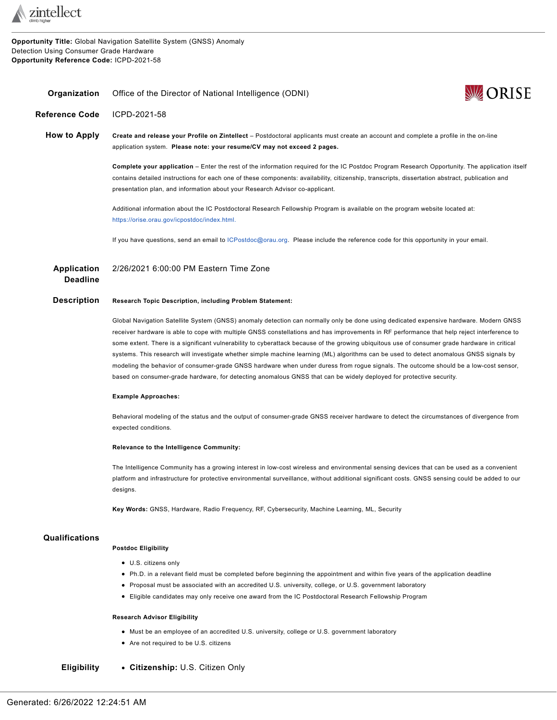

**Opportunity Title:** Global Navigation Satellite System (GNSS) Anomaly Detection Using Consumer Grade Hardware **Opportunity Reference Code:** ICPD-2021-58

<span id="page-0-0"></span>

| Organization                          | Office of the Director of National Intelligence (ODNI)                                                                                                                                                                                                                                                                                                                                                                                                                                                                                                                                                                                                                                                                                                                                                                                          | <b>WORISE</b> |
|---------------------------------------|-------------------------------------------------------------------------------------------------------------------------------------------------------------------------------------------------------------------------------------------------------------------------------------------------------------------------------------------------------------------------------------------------------------------------------------------------------------------------------------------------------------------------------------------------------------------------------------------------------------------------------------------------------------------------------------------------------------------------------------------------------------------------------------------------------------------------------------------------|---------------|
| <b>Reference Code</b>                 | ICPD-2021-58                                                                                                                                                                                                                                                                                                                                                                                                                                                                                                                                                                                                                                                                                                                                                                                                                                    |               |
| <b>How to Apply</b>                   | Create and release your Profile on Zintellect – Postdoctoral applicants must create an account and complete a profile in the on-line<br>application system. Please note: your resume/CV may not exceed 2 pages.                                                                                                                                                                                                                                                                                                                                                                                                                                                                                                                                                                                                                                 |               |
|                                       | Complete your application – Enter the rest of the information required for the IC Postdoc Program Research Opportunity. The application itself<br>contains detailed instructions for each one of these components: availability, citizenship, transcripts, dissertation abstract, publication and<br>presentation plan, and information about your Research Advisor co-applicant.                                                                                                                                                                                                                                                                                                                                                                                                                                                               |               |
|                                       | Additional information about the IC Postdoctoral Research Fellowship Program is available on the program website located at:<br>https://orise.orau.gov/icpostdoc/index.html.                                                                                                                                                                                                                                                                                                                                                                                                                                                                                                                                                                                                                                                                    |               |
|                                       | If you have questions, send an email to ICPostdoc@orau.org. Please include the reference code for this opportunity in your email.                                                                                                                                                                                                                                                                                                                                                                                                                                                                                                                                                                                                                                                                                                               |               |
| <b>Application</b><br><b>Deadline</b> | 2/26/2021 6:00:00 PM Eastern Time Zone                                                                                                                                                                                                                                                                                                                                                                                                                                                                                                                                                                                                                                                                                                                                                                                                          |               |
| <b>Description</b>                    | <b>Research Topic Description, including Problem Statement:</b>                                                                                                                                                                                                                                                                                                                                                                                                                                                                                                                                                                                                                                                                                                                                                                                 |               |
|                                       | Global Navigation Satellite System (GNSS) anomaly detection can normally only be done using dedicated expensive hardware. Modern GNSS<br>receiver hardware is able to cope with multiple GNSS constellations and has improvements in RF performance that help reject interference to<br>some extent. There is a significant vulnerability to cyberattack because of the growing ubiquitous use of consumer grade hardware in critical<br>systems. This research will investigate whether simple machine learning (ML) algorithms can be used to detect anomalous GNSS signals by<br>modeling the behavior of consumer-grade GNSS hardware when under duress from rogue signals. The outcome should be a low-cost sensor,<br>based on consumer-grade hardware, for detecting anomalous GNSS that can be widely deployed for protective security. |               |
|                                       | <b>Example Approaches:</b>                                                                                                                                                                                                                                                                                                                                                                                                                                                                                                                                                                                                                                                                                                                                                                                                                      |               |
|                                       | Behavioral modeling of the status and the output of consumer-grade GNSS receiver hardware to detect the circumstances of divergence from<br>expected conditions.                                                                                                                                                                                                                                                                                                                                                                                                                                                                                                                                                                                                                                                                                |               |
|                                       | Relevance to the Intelligence Community:                                                                                                                                                                                                                                                                                                                                                                                                                                                                                                                                                                                                                                                                                                                                                                                                        |               |
|                                       | The Intelligence Community has a growing interest in low-cost wireless and environmental sensing devices that can be used as a convenient<br>platform and infrastructure for protective environmental surveillance, without additional significant costs. GNSS sensing could be added to our<br>designs.                                                                                                                                                                                                                                                                                                                                                                                                                                                                                                                                        |               |
|                                       | Key Words: GNSS, Hardware, Radio Frequency, RF, Cybersecurity, Machine Learning, ML, Security                                                                                                                                                                                                                                                                                                                                                                                                                                                                                                                                                                                                                                                                                                                                                   |               |
| Qualifications                        |                                                                                                                                                                                                                                                                                                                                                                                                                                                                                                                                                                                                                                                                                                                                                                                                                                                 |               |
|                                       | <b>Postdoc Eligibility</b>                                                                                                                                                                                                                                                                                                                                                                                                                                                                                                                                                                                                                                                                                                                                                                                                                      |               |
|                                       | • U.S. citizens only                                                                                                                                                                                                                                                                                                                                                                                                                                                                                                                                                                                                                                                                                                                                                                                                                            |               |
|                                       | • Ph.D. in a relevant field must be completed before beginning the appointment and within five years of the application deadline<br>• Proposal must be associated with an accredited U.S. university, college, or U.S. government laboratory                                                                                                                                                                                                                                                                                                                                                                                                                                                                                                                                                                                                    |               |
|                                       | • Eligible candidates may only receive one award from the IC Postdoctoral Research Fellowship Program                                                                                                                                                                                                                                                                                                                                                                                                                                                                                                                                                                                                                                                                                                                                           |               |
|                                       | <b>Research Advisor Eligibility</b>                                                                                                                                                                                                                                                                                                                                                                                                                                                                                                                                                                                                                                                                                                                                                                                                             |               |
|                                       | • Must be an employee of an accredited U.S. university, college or U.S. government laboratory                                                                                                                                                                                                                                                                                                                                                                                                                                                                                                                                                                                                                                                                                                                                                   |               |

Are not required to be U.S. citizens

**Eligibility Citizenship:** U.S. Citizen Only